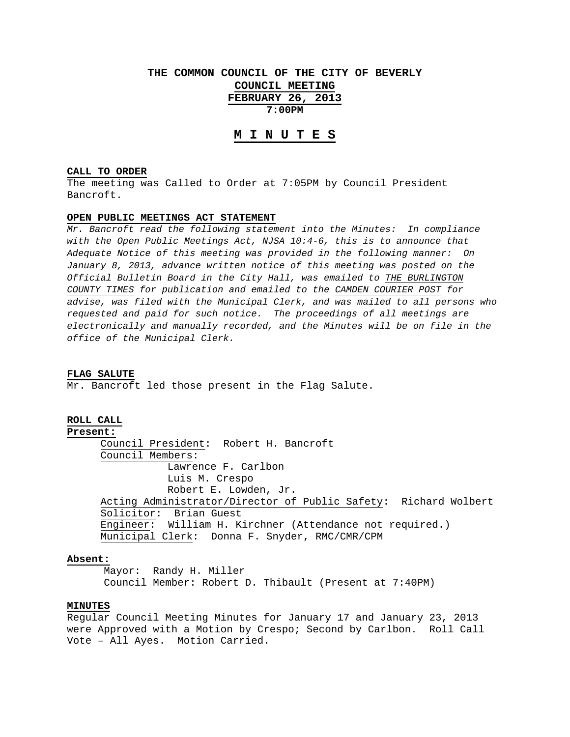# **THE COMMON COUNCIL OF THE CITY OF BEVERLY COUNCIL MEETING FEBRUARY 26, 2013 7:00PM**

# **M I N U T E S**

# **CALL TO ORDER**

The meeting was Called to Order at 7:05PM by Council President Bancroft.

#### **OPEN PUBLIC MEETINGS ACT STATEMENT**

*Mr. Bancroft read the following statement into the Minutes: In compliance with the Open Public Meetings Act, NJSA 10:4-6, this is to announce that Adequate Notice of this meeting was provided in the following manner: On January 8, 2013, advance written notice of this meeting was posted on the Official Bulletin Board in the City Hall, was emailed to THE BURLINGTON COUNTY TIMES for publication and emailed to the CAMDEN COURIER POST for advise, was filed with the Municipal Clerk, and was mailed to all persons who requested and paid for such notice. The proceedings of all meetings are electronically and manually recorded, and the Minutes will be on file in the office of the Municipal Clerk.* 

#### **FLAG SALUTE**

Mr. Bancroft led those present in the Flag Salute.

# **ROLL CALL**

#### **Present:**

 Council President: Robert H. Bancroft Council Members: Lawrence F. Carlbon Luis M. Crespo Robert E. Lowden, Jr. Acting Administrator/Director of Public Safety: Richard Wolbert Solicitor: Brian Guest Engineer: William H. Kirchner (Attendance not required.) Municipal Clerk: Donna F. Snyder, RMC/CMR/CPM

#### **Absent:**

 Mayor: Randy H. Miller Council Member: Robert D. Thibault (Present at 7:40PM)

#### **MINUTES**

Regular Council Meeting Minutes for January 17 and January 23, 2013 were Approved with a Motion by Crespo; Second by Carlbon. Roll Call Vote – All Ayes. Motion Carried.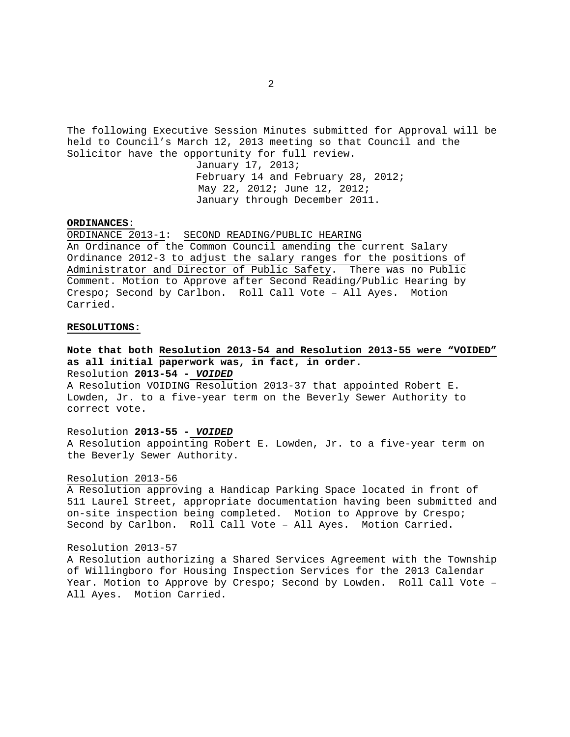The following Executive Session Minutes submitted for Approval will be held to Council's March 12, 2013 meeting so that Council and the Solicitor have the opportunity for full review. January 17, 2013; February 14 and February 28, 2012; May 22, 2012; June 12, 2012; January through December 2011.

## **ORDINANCES:**

ORDINANCE 2013-1: SECOND READING/PUBLIC HEARING An Ordinance of the Common Council amending the current Salary Ordinance 2012-3 to adjust the salary ranges for the positions of Administrator and Director of Public Safety. There was no Public Comment. Motion to Approve after Second Reading/Public Hearing by Crespo; Second by Carlbon. Roll Call Vote – All Ayes. Motion Carried.

# **RESOLUTIONS:**

**Note that both Resolution 2013-54 and Resolution 2013-55 were "VOIDED" as all initial paperwork was, in fact, in order.**  Resolution **2013-54 -** *VOIDED*

A Resolution VOIDING Resolution 2013-37 that appointed Robert E. Lowden, Jr. to a five-year term on the Beverly Sewer Authority to correct vote.

# Resolution **2013-55 -** *VOIDED*

A Resolution appointing Robert E. Lowden, Jr. to a five-year term on the Beverly Sewer Authority.

## Resolution 2013-56

A Resolution approving a Handicap Parking Space located in front of 511 Laurel Street, appropriate documentation having been submitted and on-site inspection being completed. Motion to Approve by Crespo; Second by Carlbon. Roll Call Vote – All Ayes. Motion Carried.

#### Resolution 2013-57

A Resolution authorizing a Shared Services Agreement with the Township of Willingboro for Housing Inspection Services for the 2013 Calendar Year. Motion to Approve by Crespo; Second by Lowden. Roll Call Vote – All Ayes. Motion Carried.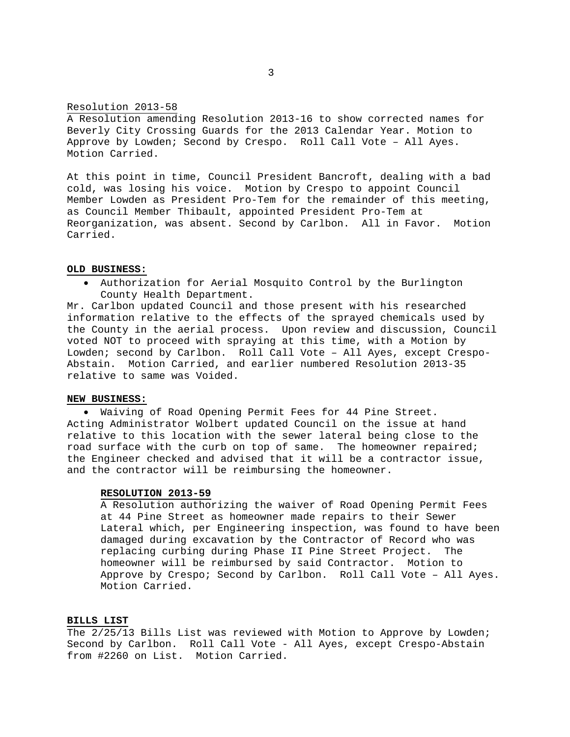## Resolution 2013-58

A Resolution amending Resolution 2013-16 to show corrected names for Beverly City Crossing Guards for the 2013 Calendar Year. Motion to Approve by Lowden; Second by Crespo. Roll Call Vote – All Ayes. Motion Carried.

At this point in time, Council President Bancroft, dealing with a bad cold, was losing his voice. Motion by Crespo to appoint Council Member Lowden as President Pro-Tem for the remainder of this meeting, as Council Member Thibault, appointed President Pro-Tem at Reorganization, was absent. Second by Carlbon. All in Favor. Motion Carried.

## **OLD BUSINESS:**

 Authorization for Aerial Mosquito Control by the Burlington County Health Department.

Mr. Carlbon updated Council and those present with his researched information relative to the effects of the sprayed chemicals used by the County in the aerial process. Upon review and discussion, Council voted NOT to proceed with spraying at this time, with a Motion by Lowden; second by Carlbon. Roll Call Vote – All Ayes, except Crespo-Abstain. Motion Carried, and earlier numbered Resolution 2013-35 relative to same was Voided.

# **NEW BUSINESS:**

 Waiving of Road Opening Permit Fees for 44 Pine Street. Acting Administrator Wolbert updated Council on the issue at hand relative to this location with the sewer lateral being close to the road surface with the curb on top of same. The homeowner repaired; the Engineer checked and advised that it will be a contractor issue, and the contractor will be reimbursing the homeowner.

#### **RESOLUTION 2013-59**

 A Resolution authorizing the waiver of Road Opening Permit Fees at 44 Pine Street as homeowner made repairs to their Sewer Lateral which, per Engineering inspection, was found to have been damaged during excavation by the Contractor of Record who was replacing curbing during Phase II Pine Street Project. The homeowner will be reimbursed by said Contractor. Motion to Approve by Crespo; Second by Carlbon. Roll Call Vote – All Ayes. Motion Carried.

#### **BILLS LIST**

The 2/25/13 Bills List was reviewed with Motion to Approve by Lowden; Second by Carlbon. Roll Call Vote - All Ayes, except Crespo-Abstain from #2260 on List. Motion Carried.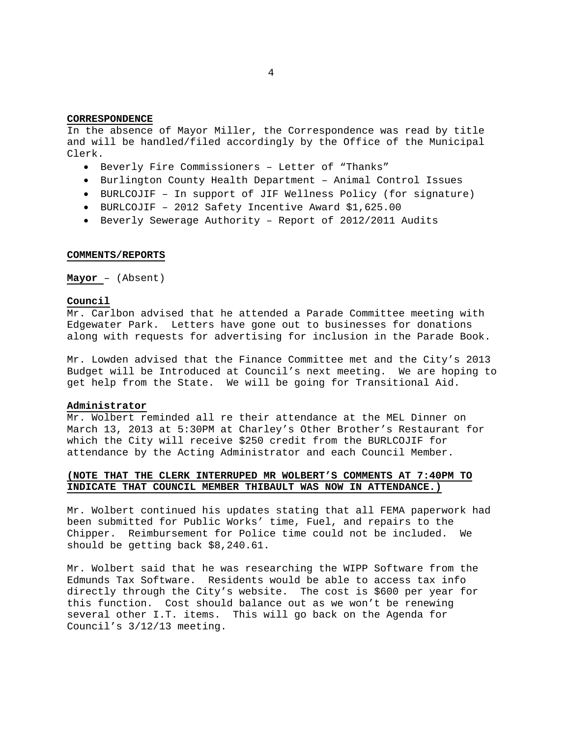# 4

## **CORRESPONDENCE**

In the absence of Mayor Miller, the Correspondence was read by title and will be handled/filed accordingly by the Office of the Municipal Clerk.

- Beverly Fire Commissioners Letter of "Thanks"
- Burlington County Health Department Animal Control Issues
- BURLCOJIF In support of JIF Wellness Policy (for signature)
- BURLCOJIF 2012 Safety Incentive Award \$1,625.00
- Beverly Sewerage Authority Report of 2012/2011 Audits

#### **COMMENTS/REPORTS**

**Mayor** – (Absent)

## **Council**

Mr. Carlbon advised that he attended a Parade Committee meeting with Edgewater Park. Letters have gone out to businesses for donations along with requests for advertising for inclusion in the Parade Book.

Mr. Lowden advised that the Finance Committee met and the City's 2013 Budget will be Introduced at Council's next meeting. We are hoping to get help from the State. We will be going for Transitional Aid.

# **Administrator**

Mr. Wolbert reminded all re their attendance at the MEL Dinner on March 13, 2013 at 5:30PM at Charley's Other Brother's Restaurant for which the City will receive \$250 credit from the BURLCOJIF for attendance by the Acting Administrator and each Council Member.

# **(NOTE THAT THE CLERK INTERRUPED MR WOLBERT'S COMMENTS AT 7:40PM TO INDICATE THAT COUNCIL MEMBER THIBAULT WAS NOW IN ATTENDANCE.)**

Mr. Wolbert continued his updates stating that all FEMA paperwork had been submitted for Public Works' time, Fuel, and repairs to the Chipper. Reimbursement for Police time could not be included. We should be getting back \$8,240.61.

Mr. Wolbert said that he was researching the WIPP Software from the Edmunds Tax Software. Residents would be able to access tax info directly through the City's website. The cost is \$600 per year for this function. Cost should balance out as we won't be renewing several other I.T. items. This will go back on the Agenda for Council's 3/12/13 meeting.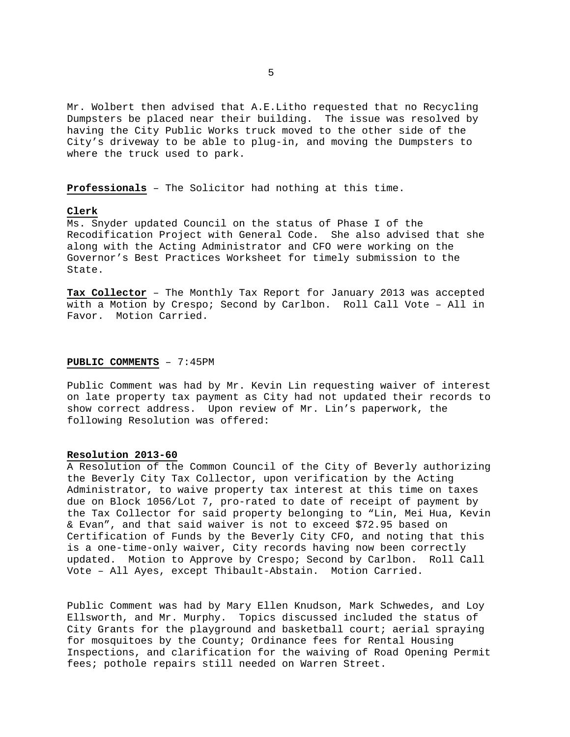Mr. Wolbert then advised that A.E.Litho requested that no Recycling Dumpsters be placed near their building. The issue was resolved by having the City Public Works truck moved to the other side of the City's driveway to be able to plug-in, and moving the Dumpsters to where the truck used to park.

**Professionals** – The Solicitor had nothing at this time.

# **Clerk**

Ms. Snyder updated Council on the status of Phase I of the Recodification Project with General Code. She also advised that she along with the Acting Administrator and CFO were working on the Governor's Best Practices Worksheet for timely submission to the State.

**Tax Collector** – The Monthly Tax Report for January 2013 was accepted with a Motion by Crespo; Second by Carlbon. Roll Call Vote – All in Favor. Motion Carried.

# **PUBLIC COMMENTS** – 7:45PM

Public Comment was had by Mr. Kevin Lin requesting waiver of interest on late property tax payment as City had not updated their records to show correct address. Upon review of Mr. Lin's paperwork, the following Resolution was offered:

# **Resolution 2013-60**

A Resolution of the Common Council of the City of Beverly authorizing the Beverly City Tax Collector, upon verification by the Acting Administrator, to waive property tax interest at this time on taxes due on Block 1056/Lot 7, pro-rated to date of receipt of payment by the Tax Collector for said property belonging to "Lin, Mei Hua, Kevin & Evan", and that said waiver is not to exceed \$72.95 based on Certification of Funds by the Beverly City CFO, and noting that this is a one-time-only waiver, City records having now been correctly updated. Motion to Approve by Crespo; Second by Carlbon. Roll Call Vote – All Ayes, except Thibault-Abstain. Motion Carried.

Public Comment was had by Mary Ellen Knudson, Mark Schwedes, and Loy Ellsworth, and Mr. Murphy. Topics discussed included the status of City Grants for the playground and basketball court; aerial spraying for mosquitoes by the County; Ordinance fees for Rental Housing Inspections, and clarification for the waiving of Road Opening Permit fees; pothole repairs still needed on Warren Street.